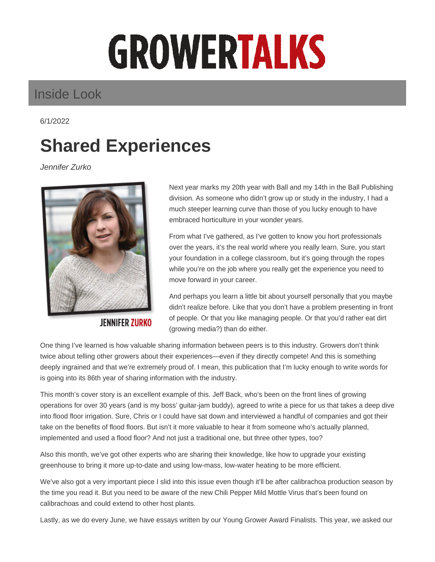## **GROWERTALKS**

## Inside Look

6/1/2022

## **Shared Experiences**

Jennifer Zurko



**JENNIFER ZURKO** 

Next year marks my 20th year with Ball and my 14th in the Ball Publishing division. As someone who didn't grow up or study in the industry, I had a much steeper learning curve than those of you lucky enough to have embraced horticulture in your wonder years.

From what I've gathered, as I've gotten to know you hort professionals over the years, it's the real world where you really learn. Sure, you start your foundation in a college classroom, but it's going through the ropes while you're on the job where you really get the experience you need to move forward in your career.

And perhaps you learn a little bit about yourself personally that you maybe didn't realize before. Like that you don't have a problem presenting in front of people. Or that you like managing people. Or that you'd rather eat dirt (growing media?) than do either.

One thing I've learned is how valuable sharing information between peers is to this industry. Growers don't think twice about telling other growers about their experiences—even if they directly compete! And this is something deeply ingrained and that we're extremely proud of. I mean, this publication that I'm lucky enough to write words for is going into its 86th year of sharing information with the industry.

This month's cover story is an excellent example of this. Jeff Back, who's been on the front lines of growing operations for over 30 years (and is my boss' guitar-jam buddy), agreed to write a piece for us that takes a deep dive into flood floor irrigation. Sure, Chris or I could have sat down and interviewed a handful of companies and got their take on the benefits of flood floors. But isn't it more valuable to hear it from someone who's actually planned, implemented and used a flood floor? And not just a traditional one, but three other types, too?

Also this month, we've got other experts who are sharing their knowledge, like how to upgrade your existing greenhouse to bring it more up-to-date and using low-mass, low-water heating to be more efficient.

We've also got a very important piece I slid into this issue even though it'll be after calibrachoa production season by the time you read it. But you need to be aware of the new Chili Pepper Mild Mottle Virus that's been found on calibrachoas and could extend to other host plants.

Lastly, as we do every June, we have essays written by our Young Grower Award Finalists. This year, we asked our